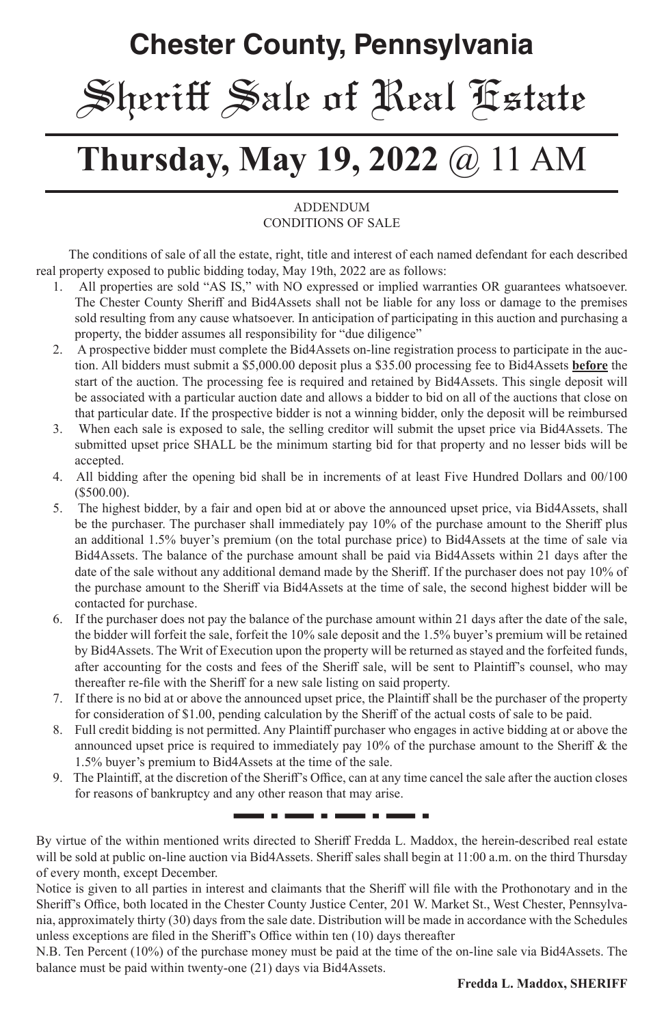# **Chester County, Pennsylvania** Sheriff Sale of Real Estate

## **Thursday, May 19, 2022** @ 11 AM

#### **ADDENDUM** CONDITIONS OF SALE

 The conditions of sale of all the estate, right, title and interest of each named defendant for each described real property exposed to public bidding today, May 19th, 2022 are as follows:

- 1. All properties are sold "AS IS," with NO expressed or implied warranties OR guarantees whatsoever. The Chester County Sheriff and Bid4Assets shall not be liable for any loss or damage to the premises sold resulting from any cause whatsoever. In anticipation of participating in this auction and purchasing a property, the bidder assumes all responsibility for "due diligence"
- 2. A prospective bidder must complete the Bid4Assets on-line registration process to participate in the auction. All bidders must submit a \$5,000.00 deposit plus a \$35.00 processing fee to Bid4Assets **before** the start of the auction. The processing fee is required and retained by Bid4Assets. This single deposit will be associated with a particular auction date and allows a bidder to bid on all of the auctions that close on that particular date. If the prospective bidder is not a winning bidder, only the deposit will be reimbursed
- 3. When each sale is exposed to sale, the selling creditor will submit the upset price via Bid4Assets. The submitted upset price SHALL be the minimum starting bid for that property and no lesser bids will be accepted.
- 4. All bidding after the opening bid shall be in increments of at least Five Hundred Dollars and 00/100 (\$500.00).
- 5. The highest bidder, by a fair and open bid at or above the announced upset price, via Bid4Assets, shall be the purchaser. The purchaser shall immediately pay 10% of the purchase amount to the Sheriff plus an additional 1.5% buyer's premium (on the total purchase price) to Bid4Assets at the time of sale via Bid4Assets. The balance of the purchase amount shall be paid via Bid4Assets within 21 days after the date of the sale without any additional demand made by the Sheriff. If the purchaser does not pay 10% of the purchase amount to the Sheriff via Bid4Assets at the time of sale, the second highest bidder will be contacted for purchase.
- 6. If the purchaser does not pay the balance of the purchase amount within 21 days after the date of the sale, the bidder will forfeit the sale, forfeit the 10% sale deposit and the 1.5% buyer's premium will be retained by Bid4Assets. The Writ of Execution upon the property will be returned as stayed and the forfeited funds, after accounting for the costs and fees of the Sheriff sale, will be sent to Plaintiff's counsel, who may thereafter re-file with the Sheriff for a new sale listing on said property.
- 7. If there is no bid at or above the announced upset price, the Plaintiff shall be the purchaser of the property for consideration of \$1.00, pending calculation by the Sheriff of the actual costs of sale to be paid.
- 8. Full credit bidding is not permitted. Any Plaintiff purchaser who engages in active bidding at or above the announced upset price is required to immediately pay 10% of the purchase amount to the Sheriff & the 1.5% buyer's premium to Bid4Assets at the time of the sale.
- 9. The Plaintiff, at the discretion of the Sheriff's Office, can at any time cancel the sale after the auction closes for reasons of bankruptcy and any other reason that may arise.

-----

By virtue of the within mentioned writs directed to Sheriff Fredda L. Maddox, the herein-described real estate will be sold at public on-line auction via Bid4Assets. Sheriff sales shall begin at 11:00 a.m. on the third Thursday of every month, except December.

- - -

. . .

Notice is given to all parties in interest and claimants that the Sheriff will file with the Prothonotary and in the Sheriff's Office, both located in the Chester County Justice Center, 201 W. Market St., West Chester, Pennsylvania, approximately thirty (30) days from the sale date. Distribution will be made in accordance with the Schedules unless exceptions are filed in the Sheriff's Office within ten (10) days thereafter

N.B. Ten Percent (10%) of the purchase money must be paid at the time of the on-line sale via Bid4Assets. The balance must be paid within twenty-one (21) days via Bid4Assets.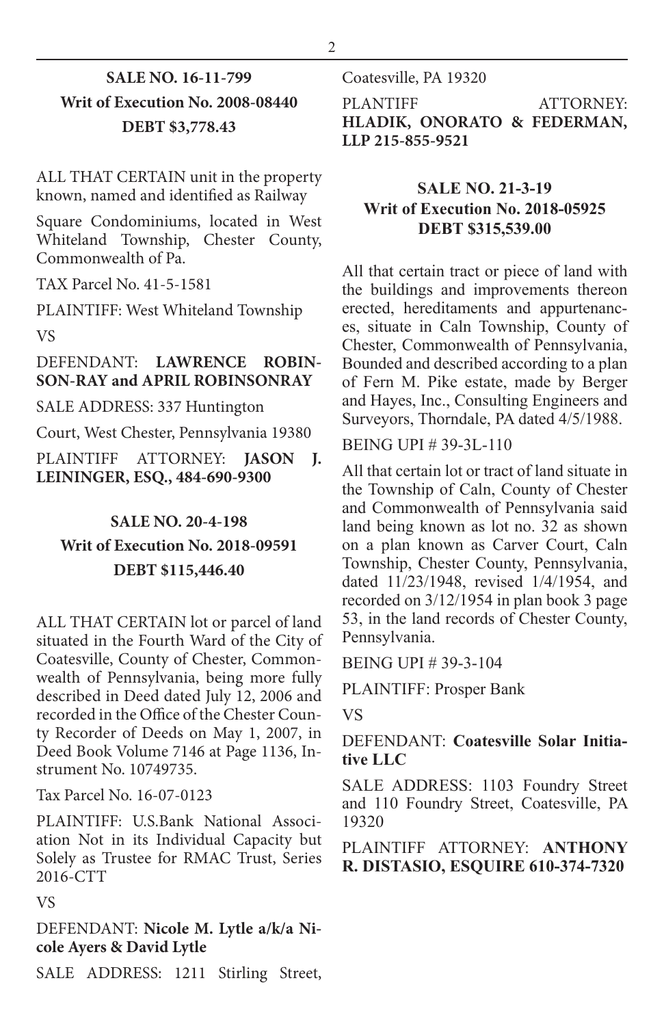## **SALE NO. 16-11-799 Writ of Execution No. 2008-08440 DEBT \$3,778.43**

ALL THAT CERTAIN unit in the property known, named and identified as Railway

Square Condominiums, located in West Whiteland Township, Chester County, Commonwealth of Pa.

TAX Parcel No. 41-5-1581

PLAINTIFF: West Whiteland Township VS

#### DEFENDANT: **LAWRENCE ROBIN-SON-RAY and APRIL ROBINSONRAY**

SALE ADDRESS: 337 Huntington

Court, West Chester, Pennsylvania 19380

PLAINTIFF ATTORNEY: **JASON J. LEININGER, ESQ., 484-690-9300**

## **SALE NO. 20-4-198 Writ of Execution No. 2018-09591 DEBT \$115,446.40**

ALL THAT CERTAIN lot or parcel of land situated in the Fourth Ward of the City of Coatesville, County of Chester, Commonwealth of Pennsylvania, being more fully described in Deed dated July 12, 2006 and recorded in the Office of the Chester County Recorder of Deeds on May 1, 2007, in Deed Book Volume 7146 at Page 1136, Instrument No. 10749735.

Tax Parcel No. 16-07-0123

PLAINTIFF: U.S.Bank National Association Not in its Individual Capacity but Solely as Trustee for RMAC Trust, Series 2016-CTT

VS

DEFENDANT: **Nicole M. Lytle a/k/a Nicole Ayers & David Lytle**

SALE ADDRESS: 1211 Stirling Street,

Coatesville, PA 19320

PLANTIFF ATTORNEY: **HLADIK, ONORATO & FEDERMAN, LLP 215-855-9521**

## **SALE NO. 21-3-19 Writ of Execution No. 2018-05925 DEBT \$315,539.00**

All that certain tract or piece of land with the buildings and improvements thereon erected, hereditaments and appurtenances, situate in Caln Township, County of Chester, Commonwealth of Pennsylvania, Bounded and described according to a plan of Fern M. Pike estate, made by Berger and Hayes, Inc., Consulting Engineers and Surveyors, Thorndale, PA dated 4/5/1988.

BEING UPI # 39-3L-110

All that certain lot or tract of land situate in the Township of Caln, County of Chester and Commonwealth of Pennsylvania said land being known as lot no. 32 as shown on a plan known as Carver Court, Caln Township, Chester County, Pennsylvania, dated 11/23/1948, revised 1/4/1954, and recorded on 3/12/1954 in plan book 3 page 53, in the land records of Chester County, Pennsylvania.

BEING UPI # 39-3-104

PLAINTIFF: Prosper Bank

VS

#### DEFENDANT: **Coatesville Solar Initiative LLC**

SALE ADDRESS: 1103 Foundry Street and 110 Foundry Street, Coatesville, PA 19320

PLAINTIFF ATTORNEY: **ANTHONY R. DISTASIO, ESQUIRE 610-374-7320**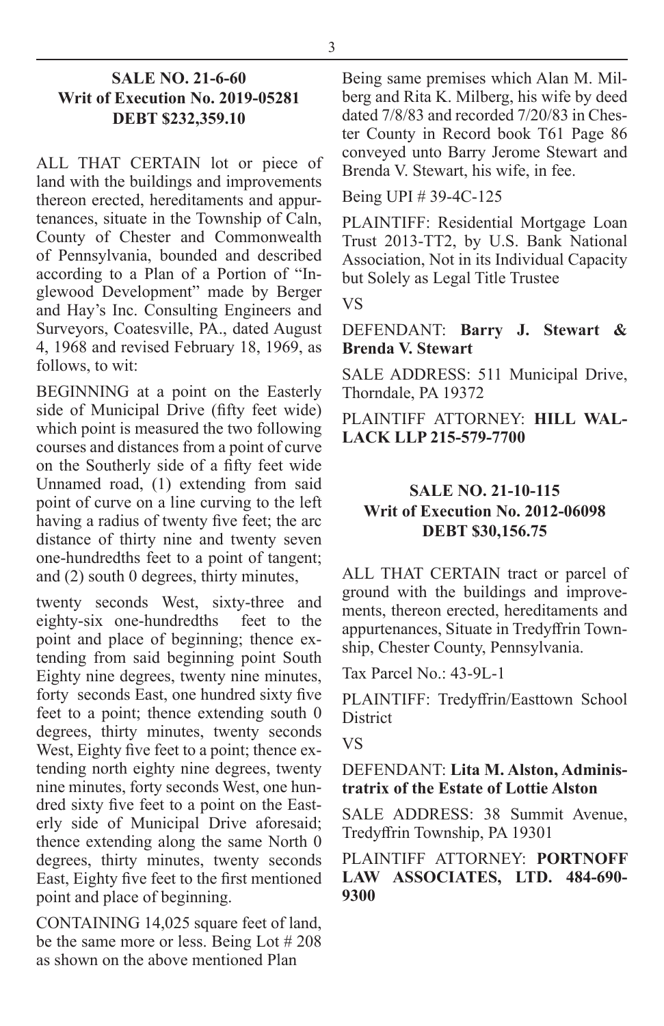#### **SALE NO. 21-6-60 Writ of Execution No. 2019-05281 DEBT \$232,359.10**

ALL THAT CERTAIN lot or piece of land with the buildings and improvements thereon erected, hereditaments and appurtenances, situate in the Township of Caln, County of Chester and Commonwealth of Pennsylvania, bounded and described according to a Plan of a Portion of "Inglewood Development" made by Berger and Hay's Inc. Consulting Engineers and Surveyors, Coatesville, PA., dated August 4, 1968 and revised February 18, 1969, as follows, to wit:

BEGINNING at a point on the Easterly side of Municipal Drive (fifty feet wide) which point is measured the two following courses and distances from a point of curve on the Southerly side of a fifty feet wide Unnamed road, (1) extending from said point of curve on a line curving to the left having a radius of twenty five feet; the arc distance of thirty nine and twenty seven one-hundredths feet to a point of tangent; and (2) south 0 degrees, thirty minutes,

twenty seconds West, sixty-three and eighty-six one-hundredths feet to the point and place of beginning; thence extending from said beginning point South Eighty nine degrees, twenty nine minutes, forty seconds East, one hundred sixty five feet to a point; thence extending south 0 degrees, thirty minutes, twenty seconds West, Eighty five feet to a point; thence extending north eighty nine degrees, twenty nine minutes, forty seconds West, one hundred sixty five feet to a point on the Easterly side of Municipal Drive aforesaid; thence extending along the same North 0 degrees, thirty minutes, twenty seconds East, Eighty five feet to the first mentioned point and place of beginning.

CONTAINING 14,025 square feet of land, be the same more or less. Being Lot # 208 as shown on the above mentioned Plan

Being same premises which Alan M. Milberg and Rita K. Milberg, his wife by deed dated 7/8/83 and recorded 7/20/83 in Chester County in Record book T61 Page 86 conveyed unto Barry Jerome Stewart and Brenda V. Stewart, his wife, in fee.

Being UPI # 39-4C-125

PLAINTIFF: Residential Mortgage Loan Trust 2013-TT2, by U.S. Bank National Association, Not in its Individual Capacity but Solely as Legal Title Trustee

VS

#### DEFENDANT: **Barry J. Stewart & Brenda V. Stewart**

SALE ADDRESS: 511 Municipal Drive, Thorndale, PA 19372

PLAINTIFF ATTORNEY: **HILL WAL-LACK LLP 215-579-7700**

## **SALE NO. 21-10-115 Writ of Execution No. 2012-06098 DEBT \$30,156.75**

ALL THAT CERTAIN tract or parcel of ground with the buildings and improvements, thereon erected, hereditaments and appurtenances, Situate in Tredyffrin Township, Chester County, Pennsylvania.

Tax Parcel No.: 43-9L-1

PLAINTIFF: Tredyffrin/Easttown School **District** 

VS

### DEFENDANT: **Lita M. Alston, Administratrix of the Estate of Lottie Alston**

SALE ADDRESS: 38 Summit Avenue, Tredyffrin Township, PA 19301

PLAINTIFF ATTORNEY: **PORTNOFF LAW ASSOCIATES, LTD. 484-690- 9300**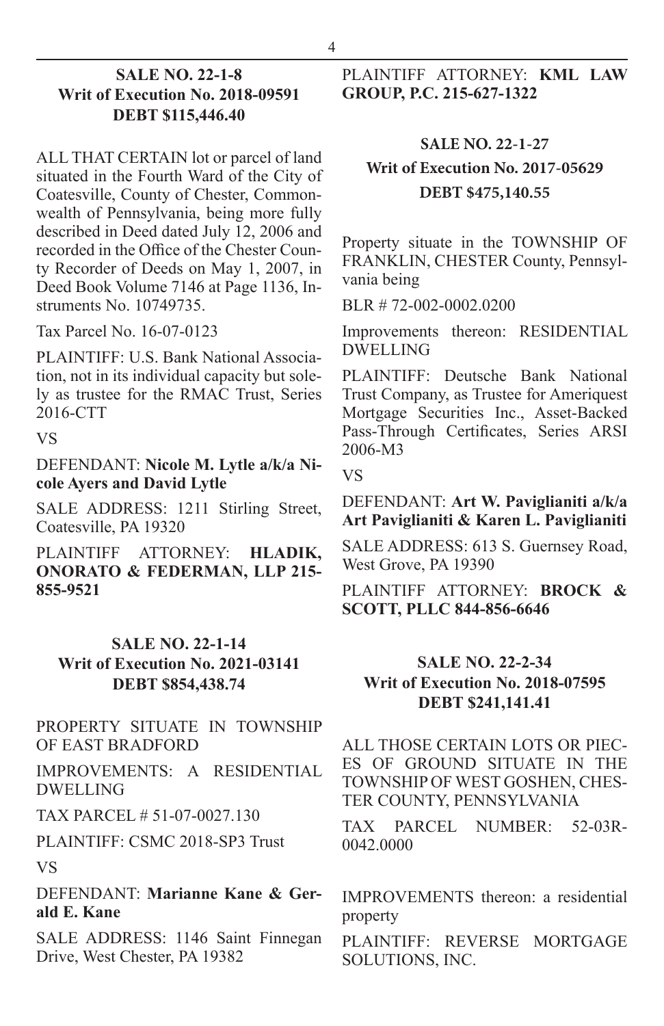#### **SALE NO. 22-1-8 Writ of Execution No. 2018-09591 DEBT \$115,446.40**

ALL THAT CERTAIN lot or parcel of land situated in the Fourth Ward of the City of Coatesville, County of Chester, Commonwealth of Pennsylvania, being more fully described in Deed dated July 12, 2006 and recorded in the Office of the Chester County Recorder of Deeds on May 1, 2007, in Deed Book Volume 7146 at Page 1136, Instruments No. 10749735.

Tax Parcel No. 16-07-0123

PLAINTIFF: U.S. Bank National Association, not in its individual capacity but solely as trustee for the RMAC Trust, Series 2016-CTT

VS

DEFENDANT: **Nicole M. Lytle a/k/a Nicole Ayers and David Lytle**

SALE ADDRESS: 1211 Stirling Street, Coatesville, PA 19320

PLAINTIFF ATTORNEY: **HLADIK, ONORATO & FEDERMAN, LLP 215- 855-9521**

## **SALE NO. 22-1-14 Writ of Execution No. 2021-03141 DEBT \$854,438.74**

#### PROPERTY SITUATE IN TOWNSHIP OF EAST BRADFORD

IMPROVEMENTS: A RESIDENTIAL DWELLING

TAX PARCEL # 51-07-0027.130

PLAINTIFF: CSMC 2018-SP3 Trust

VS

DEFENDANT: **Marianne Kane & Gerald E. Kane**

SALE ADDRESS: 1146 Saint Finnegan Drive, West Chester, PA 19382

### PLAINTIFF ATTORNEY: **KML LAW GROUP, P.C. 215-627-1322**

#### **SALE NO. 22-1-27**

## **Writ of Execution No. 2017-05629 DEBT \$475,140.55**

Property situate in the TOWNSHIP OF FRANKLIN, CHESTER County, Pennsylvania being

BLR # 72-002-0002.0200

Improvements thereon: RESIDENTIAL DWELLING

PLAINTIFF: Deutsche Bank National Trust Company, as Trustee for Ameriquest Mortgage Securities Inc., Asset-Backed Pass-Through Certificates, Series ARSI 2006-M3

VS

#### DEFENDANT: **Art W. Paviglianiti a/k/a Art Paviglianiti & Karen L. Paviglianiti**

SALE ADDRESS: 613 S. Guernsey Road, West Grove, PA 19390

PLAINTIFF ATTORNEY: **BROCK & SCOTT, PLLC 844-856-6646**

## **SALE NO. 22-2-34 Writ of Execution No. 2018-07595 DEBT \$241,141.41**

ALL THOSE CERTAIN LOTS OR PIEC-ES OF GROUND SITUATE IN THE TOWNSHIP OF WEST GOSHEN, CHES-TER COUNTY, PENNSYLVANIA

TAX PARCEL NUMBER: 52-03R-0042.0000

IMPROVEMENTS thereon: a residential property

PLAINTIFF: REVERSE MORTGAGE SOLUTIONS, INC.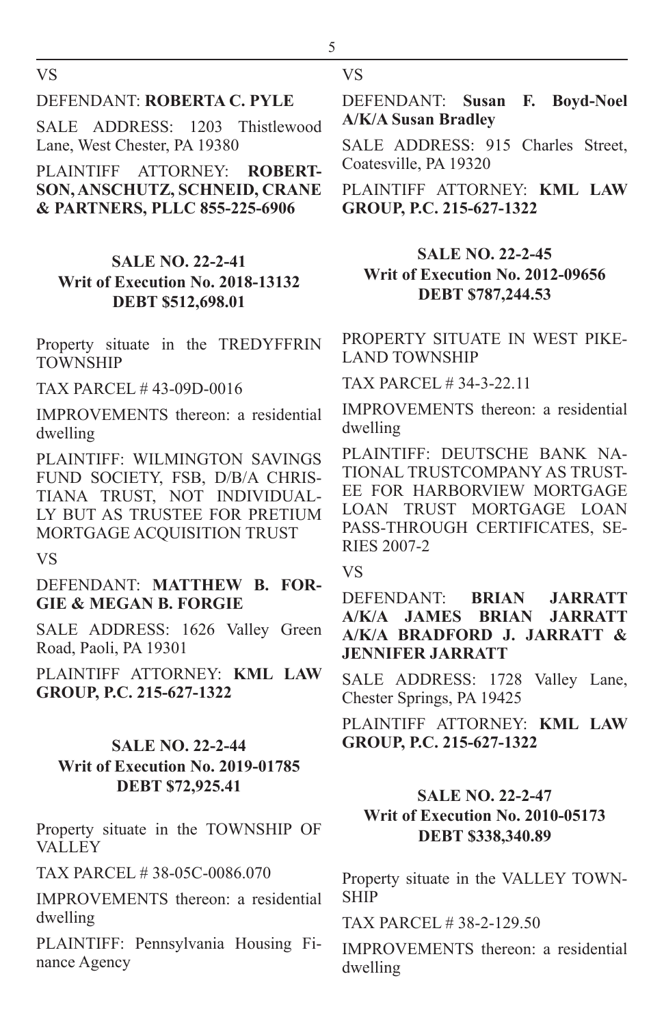VS

#### DEFENDANT: **ROBERTA C. PYLE**

SALE ADDRESS: 1203 Thistlewood Lane, West Chester, PA 19380

PLAINTIFF ATTORNEY: **ROBERT-SON, ANSCHUTZ, SCHNEID, CRANE & PARTNERS, PLLC 855-225-6906**

## **SALE NO. 22-2-41 Writ of Execution No. 2018-13132 DEBT \$512,698.01**

Property situate in the TREDYFFRIN **TOWNSHIP** 

TAX PARCEL # 43-09D-0016

IMPROVEMENTS thereon: a residential dwelling

PLAINTIFF: WILMINGTON SAVINGS FUND SOCIETY, FSB, D/B/A CHRIS-TIANA TRUST, NOT INDIVIDUAL-LY BUT AS TRUSTEE FOR PRETIUM MORTGAGE ACQUISITION TRUST

VS

DEFENDANT: **MATTHEW B. FOR-GIE & MEGAN B. FORGIE**

SALE ADDRESS: 1626 Valley Green Road, Paoli, PA 19301

PLAINTIFF ATTORNEY: **KML LAW GROUP, P.C. 215-627-1322**

#### **SALE NO. 22-2-44 Writ of Execution No. 2019-01785 DEBT \$72,925.41**

Property situate in the TOWNSHIP OF **VALLEY** 

TAX PARCEL # 38-05C-0086.070

IMPROVEMENTS thereon: a residential dwelling

PLAINTIFF: Pennsylvania Housing Finance Agency

5

DEFENDANT: **Susan F. Boyd-Noel A/K/A Susan Bradley**

SALE ADDRESS: 915 Charles Street, Coatesville, PA 19320

PLAINTIFF ATTORNEY: **KML LAW GROUP, P.C. 215-627-1322**

#### **SALE NO. 22-2-45 Writ of Execution No. 2012-09656 DEBT \$787,244.53**

PROPERTY SITUATE IN WEST PIKE-LAND TOWNSHIP

TAX PARCEL # 34-3-22.11

IMPROVEMENTS thereon: a residential dwelling

PLAINTIFF: DEUTSCHE BANK NA-TIONAL TRUSTCOMPANY AS TRUST-EE FOR HARBORVIEW MORTGAGE LOAN TRUST MORTGAGE LOAN PASS-THROUGH CERTIFICATES, SE-RIES 2007-2

VS

DEFENDANT: **BRIAN JARRATT A/K/A JAMES BRIAN JARRATT A/K/A BRADFORD J. JARRATT & JENNIFER JARRATT**

SALE ADDRESS: 1728 Valley Lane, Chester Springs, PA 19425

PLAINTIFF ATTORNEY: **KML LAW GROUP, P.C. 215-627-1322**

### **SALE NO. 22-2-47 Writ of Execution No. 2010-05173 DEBT \$338,340.89**

Property situate in the VALLEY TOWN-SHIP

TAX PARCEL # 38-2-129.50

IMPROVEMENTS thereon: a residential dwelling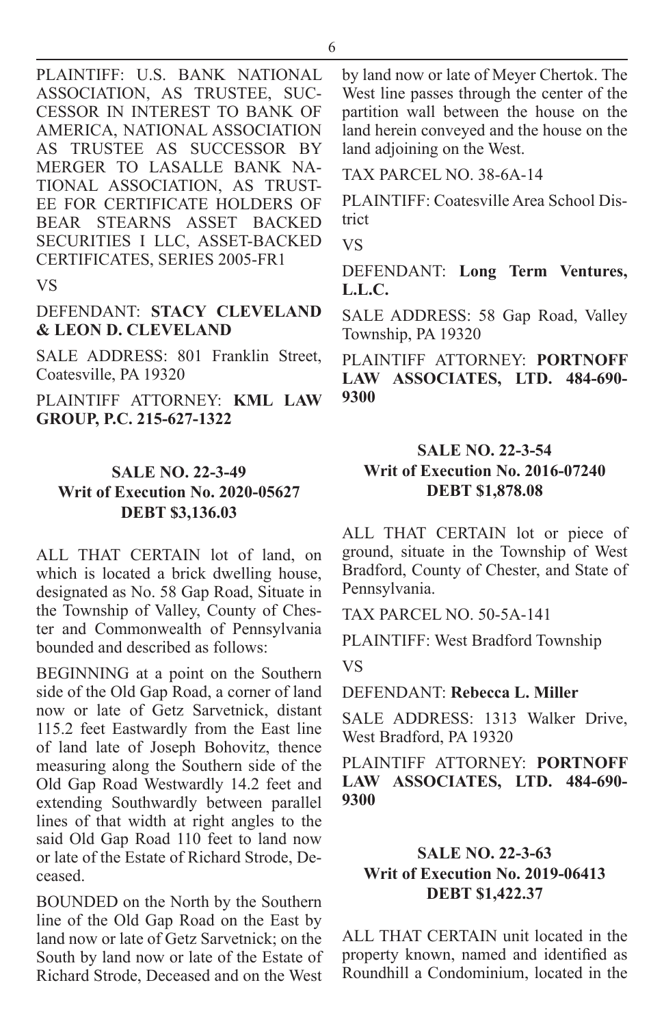PLAINTIFF: U.S. BANK NATIONAL ASSOCIATION, AS TRUSTEE, SUC-CESSOR IN INTEREST TO BANK OF AMERICA, NATIONAL ASSOCIATION AS TRUSTEE AS SUCCESSOR BY MERGER TO LASALLE BANK NA-TIONAL ASSOCIATION, AS TRUST-EE FOR CERTIFICATE HOLDERS OF BEAR STEARNS ASSET BACKED SECURITIES I LLC, ASSET-BACKED CERTIFICATES, SERIES 2005-FR1

VS

#### DEFENDANT: **STACY CLEVELAND & LEON D. CLEVELAND**

SALE ADDRESS: 801 Franklin Street, Coatesville, PA 19320

PLAINTIFF ATTORNEY: **KML LAW GROUP, P.C. 215-627-1322**

## **SALE NO. 22-3-49 Writ of Execution No. 2020-05627 DEBT \$3,136.03**

ALL THAT CERTAIN lot of land, on which is located a brick dwelling house, designated as No. 58 Gap Road, Situate in the Township of Valley, County of Chester and Commonwealth of Pennsylvania bounded and described as follows:

BEGINNING at a point on the Southern side of the Old Gap Road, a corner of land now or late of Getz Sarvetnick, distant 115.2 feet Eastwardly from the East line of land late of Joseph Bohovitz, thence measuring along the Southern side of the Old Gap Road Westwardly 14.2 feet and extending Southwardly between parallel lines of that width at right angles to the said Old Gap Road 110 feet to land now or late of the Estate of Richard Strode, Deceased.

BOUNDED on the North by the Southern line of the Old Gap Road on the East by land now or late of Getz Sarvetnick; on the South by land now or late of the Estate of Richard Strode, Deceased and on the West

by land now or late of Meyer Chertok. The West line passes through the center of the partition wall between the house on the land herein conveyed and the house on the land adjoining on the West.

TAX PARCEL NO. 38-6A-14

PLAINTIFF: Coatesville Area School District

VS

DEFENDANT: **Long Term Ventures, L.L.C.**

SALE ADDRESS: 58 Gap Road, Valley Township, PA 19320

PLAINTIFF ATTORNEY: **PORTNOFF LAW ASSOCIATES, LTD. 484-690- 9300**

## **SALE NO. 22-3-54 Writ of Execution No. 2016-07240 DEBT \$1,878.08**

ALL THAT CERTAIN lot or piece of ground, situate in the Township of West Bradford, County of Chester, and State of Pennsylvania.

TAX PARCEL NO. 50-5A-141

PLAINTIFF: West Bradford Township VS

DEFENDANT: **Rebecca L. Miller**

SALE ADDRESS: 1313 Walker Drive, West Bradford, PA 19320

PLAINTIFF ATTORNEY: **PORTNOFF LAW ASSOCIATES, LTD. 484-690- 9300**

## **SALE NO. 22-3-63 Writ of Execution No. 2019-06413 DEBT \$1,422.37**

ALL THAT CERTAIN unit located in the property known, named and identified as Roundhill a Condominium, located in the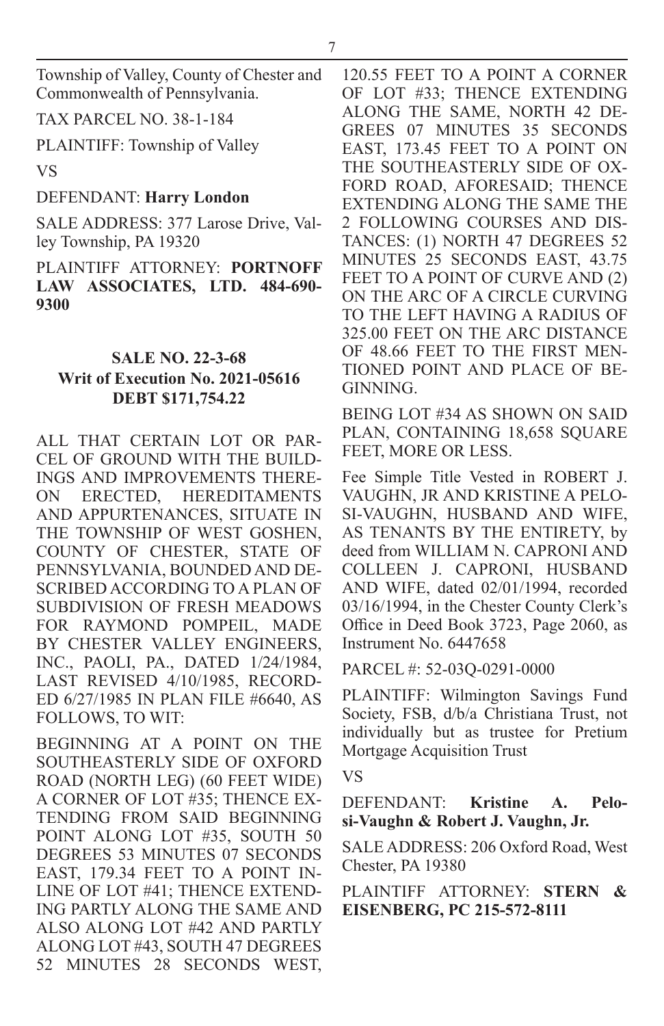Township of Valley, County of Chester and Commonwealth of Pennsylvania.

TAX PARCEL NO. 38-1-184

PLAINTIFF: Township of Valley

VS

DEFENDANT: **Harry London**

SALE ADDRESS: 377 Larose Drive, Valley Township, PA 19320

PLAINTIFF ATTORNEY: **PORTNOFF LAW ASSOCIATES, LTD. 484-690- 9300**

## **SALE NO. 22-3-68 Writ of Execution No. 2021-05616 DEBT \$171,754.22**

ALL THAT CERTAIN LOT OR PAR-CEL OF GROUND WITH THE BUILD-INGS AND IMPROVEMENTS THERE-ON ERECTED, HEREDITAMENTS AND APPURTENANCES, SITUATE IN THE TOWNSHIP OF WEST GOSHEN, COUNTY OF CHESTER, STATE OF PENNSYLVANIA, BOUNDED AND DE-SCRIBED ACCORDING TO A PLAN OF SUBDIVISION OF FRESH MEADOWS FOR RAYMOND POMPEIL, MADE BY CHESTER VALLEY ENGINEERS, INC., PAOLI, PA., DATED 1/24/1984, LAST REVISED 4/10/1985, RECORD-ED 6/27/1985 IN PLAN FILE #6640, AS FOLLOWS, TO WIT:

BEGINNING AT A POINT ON THE SOUTHEASTERLY SIDE OF OXFORD ROAD (NORTH LEG) (60 FEET WIDE) A CORNER OF LOT #35; THENCE EX-TENDING FROM SAID BEGINNING POINT ALONG LOT #35, SOUTH 50 DEGREES 53 MINUTES 07 SECONDS EAST, 179.34 FEET TO A POINT IN-LINE OF LOT #41; THENCE EXTEND-ING PARTLY ALONG THE SAME AND ALSO ALONG LOT #42 AND PARTLY ALONG LOT #43, SOUTH 47 DEGREES 52 MINUTES 28 SECONDS WEST, 120.55 FEET TO A POINT A CORNER OF LOT #33; THENCE EXTENDING ALONG THE SAME, NORTH 42 DE-GREES 07 MINUTES 35 SECONDS EAST, 173.45 FEET TO A POINT ON THE SOUTHEASTERLY SIDE OF OX-FORD ROAD, AFORESAID; THENCE EXTENDING ALONG THE SAME THE 2 FOLLOWING COURSES AND DIS-TANCES: (1) NORTH 47 DEGREES 52 MINUTES 25 SECONDS EAST, 43.75 FEET TO A POINT OF CURVE AND (2) ON THE ARC OF A CIRCLE CURVING TO THE LEFT HAVING A RADIUS OF 325.00 FEET ON THE ARC DISTANCE OF 48.66 FEET TO THE FIRST MEN-TIONED POINT AND PLACE OF BE-GINNING.

BEING LOT #34 AS SHOWN ON SAID PLAN, CONTAINING 18,658 SQUARE FEET, MORE OR LESS.

Fee Simple Title Vested in ROBERT J. VAUGHN, JR AND KRISTINE A PELO-SI-VAUGHN, HUSBAND AND WIFE, AS TENANTS BY THE ENTIRETY, by deed from WILLIAM N. CAPRONI AND COLLEEN J. CAPRONI, HUSBAND AND WIFE, dated 02/01/1994, recorded 03/16/1994, in the Chester County Clerk's Office in Deed Book 3723, Page 2060, as Instrument No. 6447658

PARCEL #: 52-03Q-0291-0000

PLAINTIFF: Wilmington Savings Fund Society, FSB, d/b/a Christiana Trust, not individually but as trustee for Pretium Mortgage Acquisition Trust

VS

DEFENDANT: **Kristine A. Pelosi-Vaughn & Robert J. Vaughn, Jr.**

SALE ADDRESS: 206 Oxford Road, West Chester, PA 19380

PLAINTIFF ATTORNEY: **STERN & EISENBERG, PC 215-572-8111**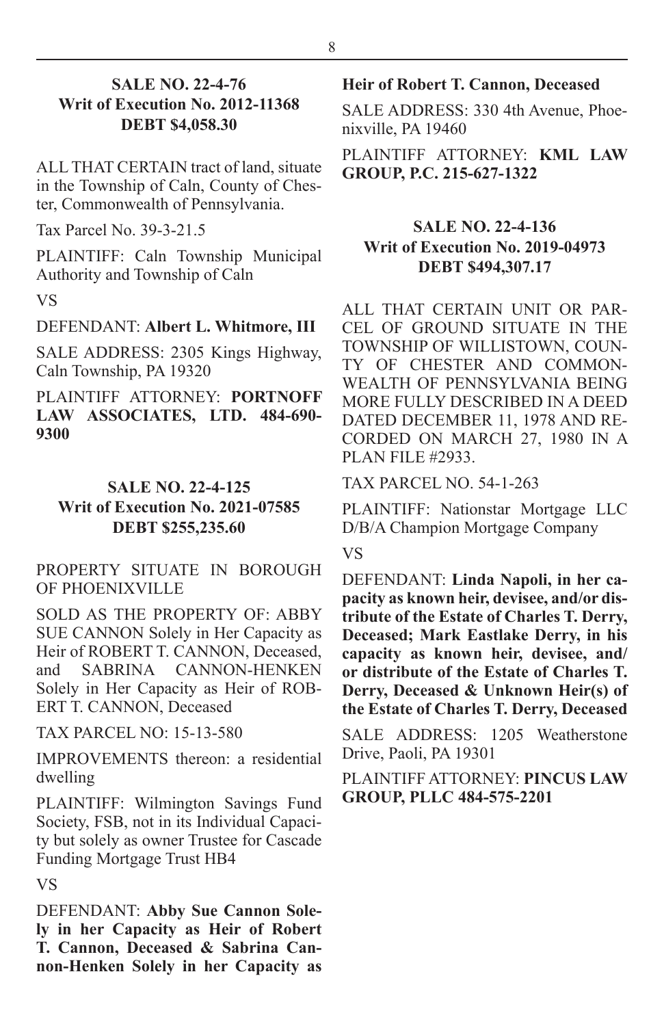#### **SALE NO. 22-4-76 Writ of Execution No. 2012-11368 DEBT \$4,058.30**

ALL THAT CERTAIN tract of land, situate in the Township of Caln, County of Chester, Commonwealth of Pennsylvania.

Tax Parcel No. 39-3-21.5

PLAINTIFF: Caln Township Municipal Authority and Township of Caln VS

#### DEFENDANT: **Albert L. Whitmore, III**

SALE ADDRESS: 2305 Kings Highway, Caln Township, PA 19320

PLAINTIFF ATTORNEY: **PORTNOFF LAW ASSOCIATES, LTD. 484-690- 9300**

#### **SALE NO. 22-4-125**

#### **Writ of Execution No. 2021-07585 DEBT \$255,235.60**

#### PROPERTY SITUATE IN BOROUGH OF PHOENIXVILLE

SOLD AS THE PROPERTY OF: ABBY SUE CANNON Solely in Her Capacity as Heir of ROBERT T. CANNON, Deceased, and SABRINA CANNON-HENKEN Solely in Her Capacity as Heir of ROB-ERT T. CANNON, Deceased

TAX PARCEL NO: 15-13-580

IMPROVEMENTS thereon: a residential dwelling

PLAINTIFF: Wilmington Savings Fund Society, FSB, not in its Individual Capacity but solely as owner Trustee for Cascade Funding Mortgage Trust HB4

VS

DEFENDANT: **Abby Sue Cannon Solely in her Capacity as Heir of Robert T. Cannon, Deceased & Sabrina Cannon-Henken Solely in her Capacity as** 

#### **Heir of Robert T. Cannon, Deceased**

SALE ADDRESS: 330 4th Avenue, Phoenixville, PA 19460

PLAINTIFF ATTORNEY: **KML LAW GROUP, P.C. 215-627-1322**

#### **SALE NO. 22-4-136 Writ of Execution No. 2019-04973 DEBT \$494,307.17**

ALL THAT CERTAIN UNIT OR PAR-CEL OF GROUND SITUATE IN THE TOWNSHIP OF WILLISTOWN, COUN-TY OF CHESTER AND COMMON-WEALTH OF PENNSYLVANIA BEING MORE FULLY DESCRIBED IN A DEED DATED DECEMBER 11, 1978 AND RE-CORDED ON MARCH 27, 1980 IN A PLAN FILE #2933.

TAX PARCEL NO. 54-1-263

PLAINTIFF: Nationstar Mortgage LLC D/B/A Champion Mortgage Company

#### VS

DEFENDANT: **Linda Napoli, in her capacity as known heir, devisee, and/or distribute of the Estate of Charles T. Derry, Deceased; Mark Eastlake Derry, in his capacity as known heir, devisee, and/ or distribute of the Estate of Charles T. Derry, Deceased & Unknown Heir(s) of the Estate of Charles T. Derry, Deceased**

SALE ADDRESS: 1205 Weatherstone Drive, Paoli, PA 19301

PLAINTIFF ATTORNEY: **PINCUS LAW GROUP, PLLC 484-575-2201**